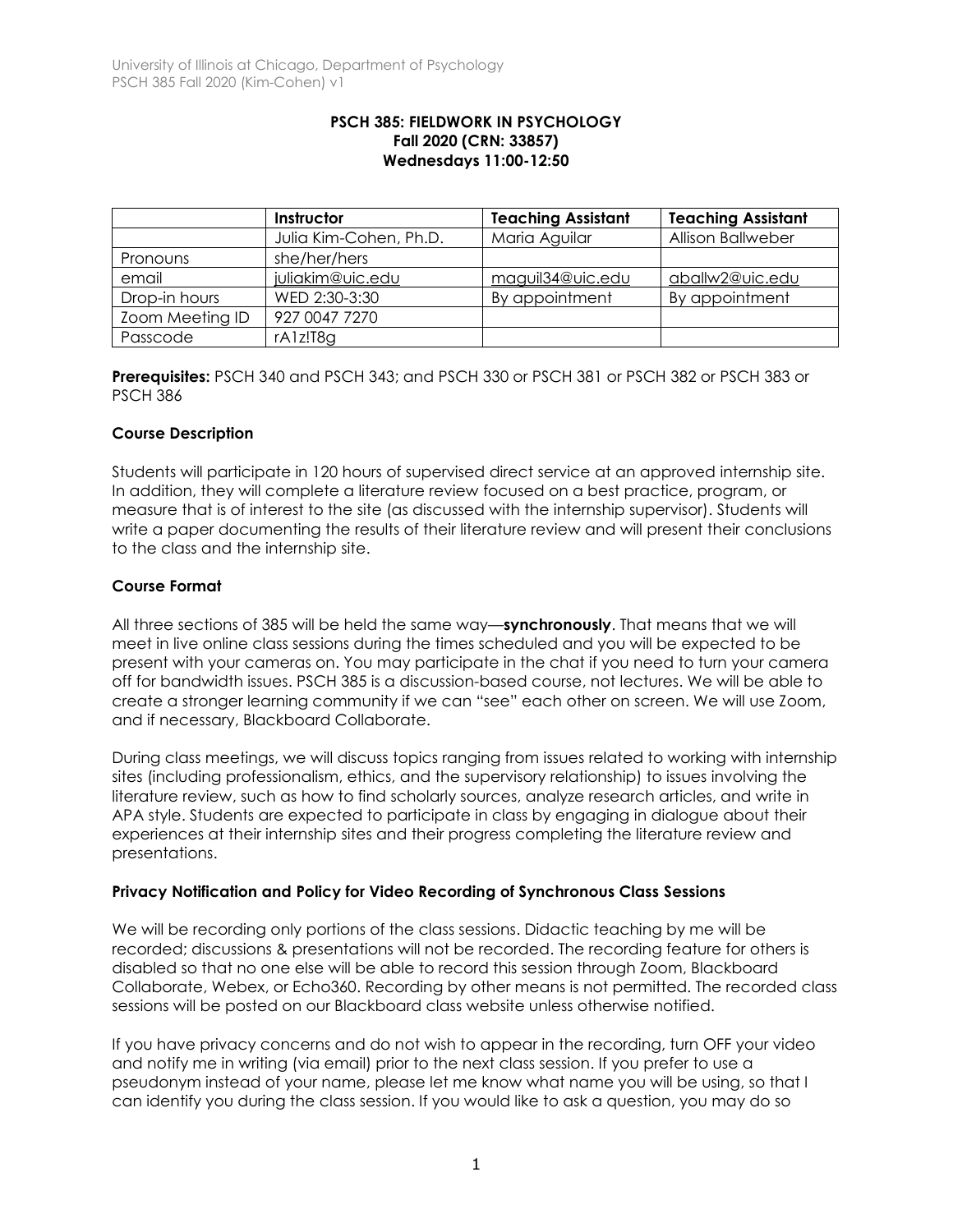### **PSCH 385: FIELDWORK IN PSYCHOLOGY Fall 2020 (CRN: 33857) Wednesdays 11:00-12:50**

|                 | Instructor             | <b>Teaching Assistant</b> | <b>Teaching Assistant</b> |
|-----------------|------------------------|---------------------------|---------------------------|
|                 | Julia Kim-Cohen, Ph.D. | Maria Aguilar             | <b>Allison Ballweber</b>  |
| Pronouns        | she/her/hers           |                           |                           |
| email           | juliakim@uic.edu       | maguil34@uic.edu          | aballw2@uic.edu           |
| Drop-in hours   | WED 2:30-3:30          | By appointment            | By appointment            |
| Zoom Meeting ID | 927 0047 7270          |                           |                           |
| Passcode        | rA1z!T8g               |                           |                           |

**Prerequisites:** PSCH 340 and PSCH 343; and PSCH 330 or PSCH 381 or PSCH 382 or PSCH 383 or PSCH 386

## **Course Description**

Students will participate in 120 hours of supervised direct service at an approved internship site. In addition, they will complete a literature review focused on a best practice, program, or measure that is of interest to the site (as discussed with the internship supervisor). Students will write a paper documenting the results of their literature review and will present their conclusions to the class and the internship site.

## **Course Format**

All three sections of 385 will be held the same way—**synchronously**. That means that we will meet in live online class sessions during the times scheduled and you will be expected to be present with your cameras on. You may participate in the chat if you need to turn your camera off for bandwidth issues. PSCH 385 is a discussion-based course, not lectures. We will be able to create a stronger learning community if we can "see" each other on screen. We will use Zoom, and if necessary, Blackboard Collaborate.

During class meetings, we will discuss topics ranging from issues related to working with internship sites (including professionalism, ethics, and the supervisory relationship) to issues involving the literature review, such as how to find scholarly sources, analyze research articles, and write in APA style. Students are expected to participate in class by engaging in dialogue about their experiences at their internship sites and their progress completing the literature review and presentations.

## **Privacy Notification and Policy for Video Recording of Synchronous Class Sessions**

We will be recording only portions of the class sessions. Didactic teaching by me will be recorded; discussions & presentations will not be recorded. The recording feature for others is disabled so that no one else will be able to record this session through Zoom, Blackboard Collaborate, Webex, or Echo360. Recording by other means is not permitted. The recorded class sessions will be posted on our Blackboard class website unless otherwise notified.

If you have privacy concerns and do not wish to appear in the recording, turn OFF your video and notify me in writing (via email) prior to the next class session. If you prefer to use a pseudonym instead of your name, please let me know what name you will be using, so that I can identify you during the class session. If you would like to ask a question, you may do so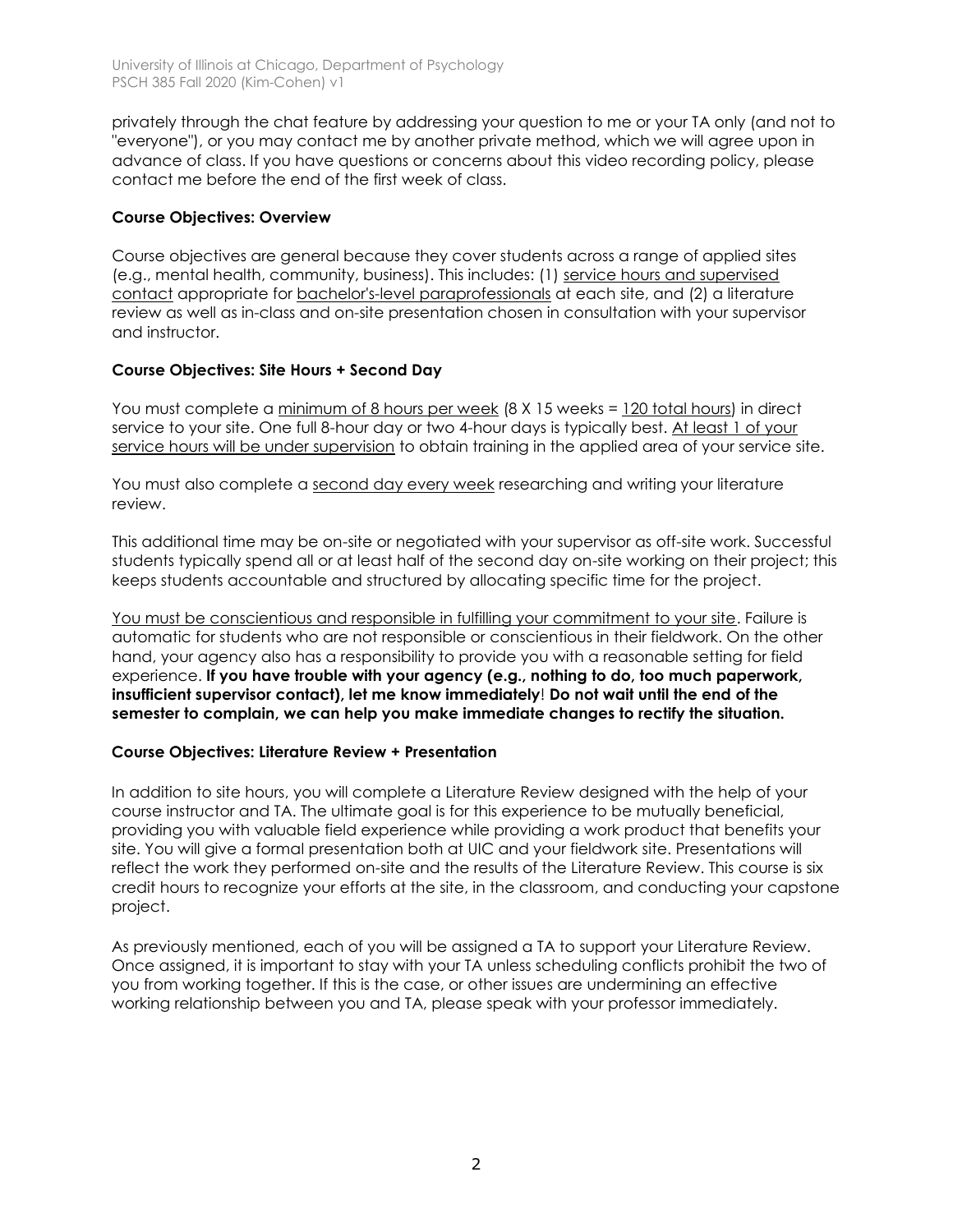privately through the chat feature by addressing your question to me or your TA only (and not to "everyone"), or you may contact me by another private method, which we will agree upon in advance of class. If you have questions or concerns about this video recording policy, please contact me before the end of the first week of class.

## **Course Objectives: Overview**

Course objectives are general because they cover students across a range of applied sites (e.g., mental health, community, business). This includes: (1) service hours and supervised contact appropriate for bachelor's-level paraprofessionals at each site, and (2) a literature review as well as in-class and on-site presentation chosen in consultation with your supervisor and instructor.

## **Course Objectives: Site Hours + Second Day**

You must complete a minimum of 8 hours per week (8 X 15 weeks = 120 total hours) in direct service to your site. One full 8-hour day or two 4-hour days is typically best. At least 1 of your service hours will be under supervision to obtain training in the applied area of your service site.

You must also complete a second day every week researching and writing your literature review.

This additional time may be on-site or negotiated with your supervisor as off-site work. Successful students typically spend all or at least half of the second day on-site working on their project; this keeps students accountable and structured by allocating specific time for the project.

You must be conscientious and responsible in fulfilling your commitment to your site. Failure is automatic for students who are not responsible or conscientious in their fieldwork. On the other hand, your agency also has a responsibility to provide you with a reasonable setting for field experience. **If you have trouble with your agency (e.g., nothing to do, too much paperwork, insufficient supervisor contact), let me know immediately**! **Do not wait until the end of the semester to complain, we can help you make immediate changes to rectify the situation.**

## **Course Objectives: Literature Review + Presentation**

In addition to site hours, you will complete a Literature Review designed with the help of your course instructor and TA. The ultimate goal is for this experience to be mutually beneficial, providing you with valuable field experience while providing a work product that benefits your site. You will give a formal presentation both at UIC and your fieldwork site. Presentations will reflect the work they performed on-site and the results of the Literature Review. This course is six credit hours to recognize your efforts at the site, in the classroom, and conducting your capstone project.

As previously mentioned, each of you will be assigned a TA to support your Literature Review. Once assigned, it is important to stay with your TA unless scheduling conflicts prohibit the two of you from working together. If this is the case, or other issues are undermining an effective working relationship between you and TA, please speak with your professor immediately.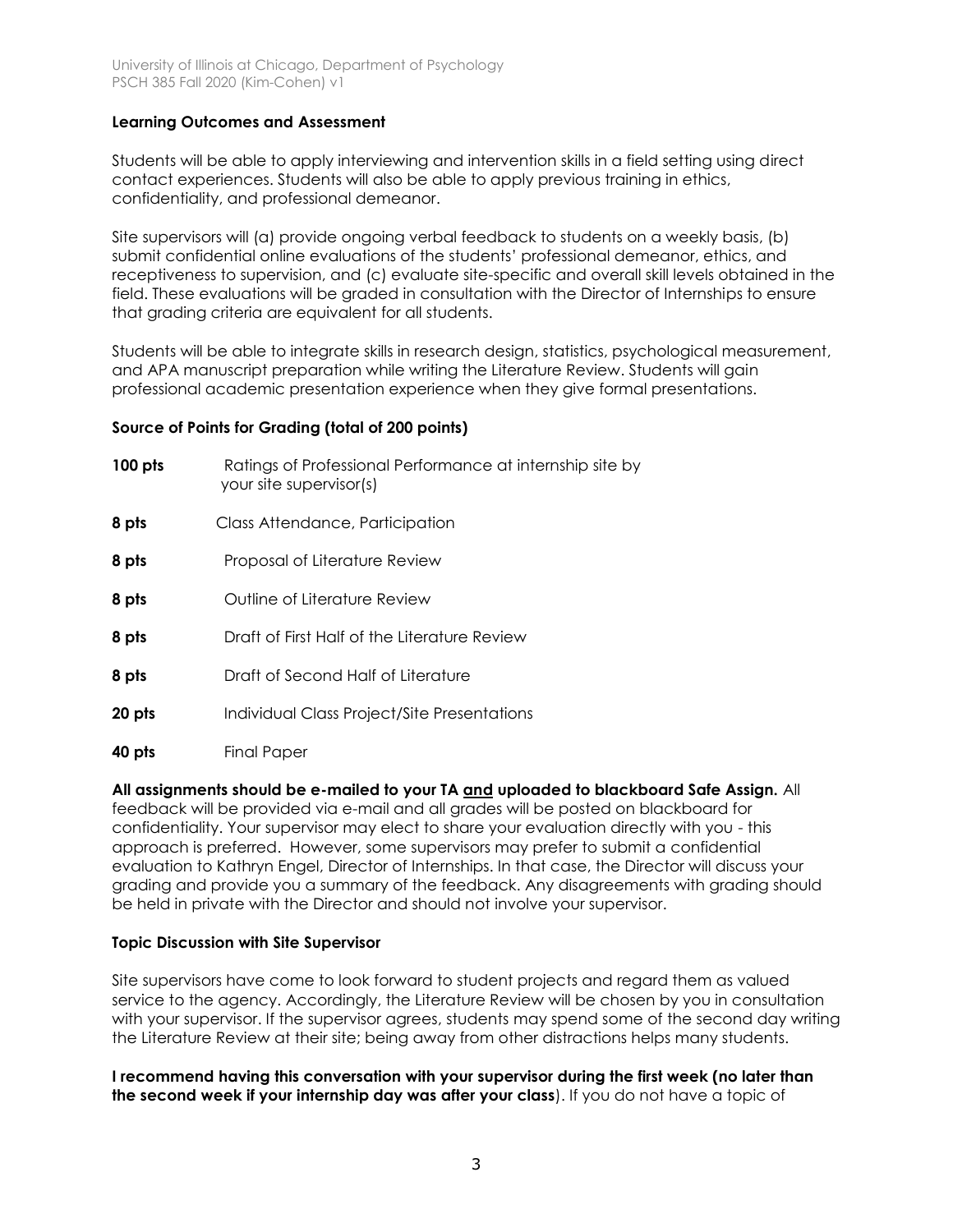## **Learning Outcomes and Assessment**

Students will be able to apply interviewing and intervention skills in a field setting using direct contact experiences. Students will also be able to apply previous training in ethics, confidentiality, and professional demeanor.

Site supervisors will (a) provide ongoing verbal feedback to students on a weekly basis, (b) submit confidential online evaluations of the students' professional demeanor, ethics, and receptiveness to supervision, and (c) evaluate site-specific and overall skill levels obtained in the field. These evaluations will be graded in consultation with the Director of Internships to ensure that grading criteria are equivalent for all students.

Students will be able to integrate skills in research design, statistics, psychological measurement, and APA manuscript preparation while writing the Literature Review. Students will gain professional academic presentation experience when they give formal presentations.

## **Source of Points for Grading (total of 200 points)**

- **100 pts** Ratings of Professional Performance at internship site by your site supervisor(s) **8 pts** Class Attendance, Participation **8 pts** Proposal of Literature Review **8 pts** Outline of Literature Review **8 pts** Draft of First Half of the Literature Review **8 pts** Draft of Second Half of Literature **20 pts Individual Class Project/Site Presentations**
- **40 pts** Final Paper

## **All assignments should be e-mailed to your TA and uploaded to blackboard Safe Assign.** All

feedback will be provided via e-mail and all grades will be posted on blackboard for confidentiality. Your supervisor may elect to share your evaluation directly with you - this approach is preferred. However, some supervisors may prefer to submit a confidential evaluation to Kathryn Engel, Director of Internships. In that case, the Director will discuss your grading and provide you a summary of the feedback. Any disagreements with grading should be held in private with the Director and should not involve your supervisor.

## **Topic Discussion with Site Supervisor**

Site supervisors have come to look forward to student projects and regard them as valued service to the agency. Accordingly, the Literature Review will be chosen by you in consultation with your supervisor. If the supervisor agrees, students may spend some of the second day writing the Literature Review at their site; being away from other distractions helps many students.

**I recommend having this conversation with your supervisor during the first week (no later than the second week if your internship day was after your class**). If you do not have a topic of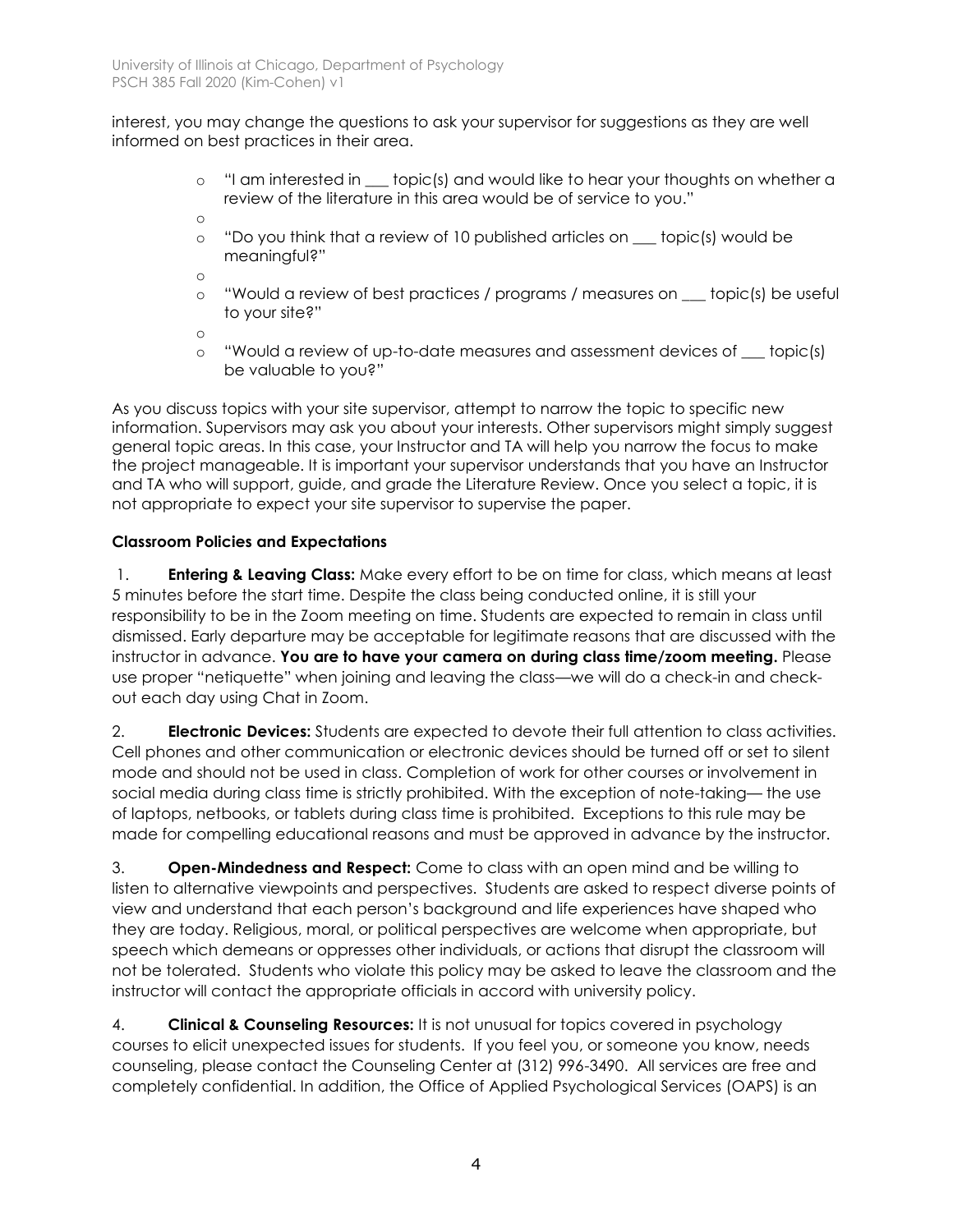interest, you may change the questions to ask your supervisor for suggestions as they are well informed on best practices in their area.

- o "I am interested in \_\_\_ topic(s) and would like to hear your thoughts on whether a review of the literature in this area would be of service to you."
- o
- o "Do you think that a review of 10 published articles on \_\_\_ topic(s) would be meaningful?"

o

o "Would a review of best practices / programs / measures on \_\_\_ topic(s) be useful to your site?"

o

o "Would a review of up-to-date measures and assessment devices of \_\_\_ topic(s) be valuable to you?"

As you discuss topics with your site supervisor, attempt to narrow the topic to specific new information. Supervisors may ask you about your interests. Other supervisors might simply suggest general topic areas. In this case, your Instructor and TA will help you narrow the focus to make the project manageable. It is important your supervisor understands that you have an Instructor and TA who will support, guide, and grade the Literature Review. Once you select a topic, it is not appropriate to expect your site supervisor to supervise the paper.

# **Classroom Policies and Expectations**

1. **Entering & Leaving Class:** Make every effort to be on time for class, which means at least 5 minutes before the start time. Despite the class being conducted online, it is still your responsibility to be in the Zoom meeting on time. Students are expected to remain in class until dismissed. Early departure may be acceptable for legitimate reasons that are discussed with the instructor in advance. **You are to have your camera on during class time/zoom meeting.** Please use proper "netiquette" when joining and leaving the class—we will do a check-in and checkout each day using Chat in Zoom.

2. **Electronic Devices:** Students are expected to devote their full attention to class activities. Cell phones and other communication or electronic devices should be turned off or set to silent mode and should not be used in class. Completion of work for other courses or involvement in social media during class time is strictly prohibited. With the exception of note-taking— the use of laptops, netbooks, or tablets during class time is prohibited. Exceptions to this rule may be made for compelling educational reasons and must be approved in advance by the instructor.

3. **Open-Mindedness and Respect:** Come to class with an open mind and be willing to listen to alternative viewpoints and perspectives. Students are asked to respect diverse points of view and understand that each person's background and life experiences have shaped who they are today. Religious, moral, or political perspectives are welcome when appropriate, but speech which demeans or oppresses other individuals, or actions that disrupt the classroom will not be tolerated. Students who violate this policy may be asked to leave the classroom and the instructor will contact the appropriate officials in accord with university policy.

4. **Clinical & Counseling Resources:** It is not unusual for topics covered in psychology courses to elicit unexpected issues for students. If you feel you, or someone you know, needs counseling, please contact the Counseling Center at (312) 996-3490. All services are free and completely confidential. In addition, the Office of Applied Psychological Services (OAPS) is an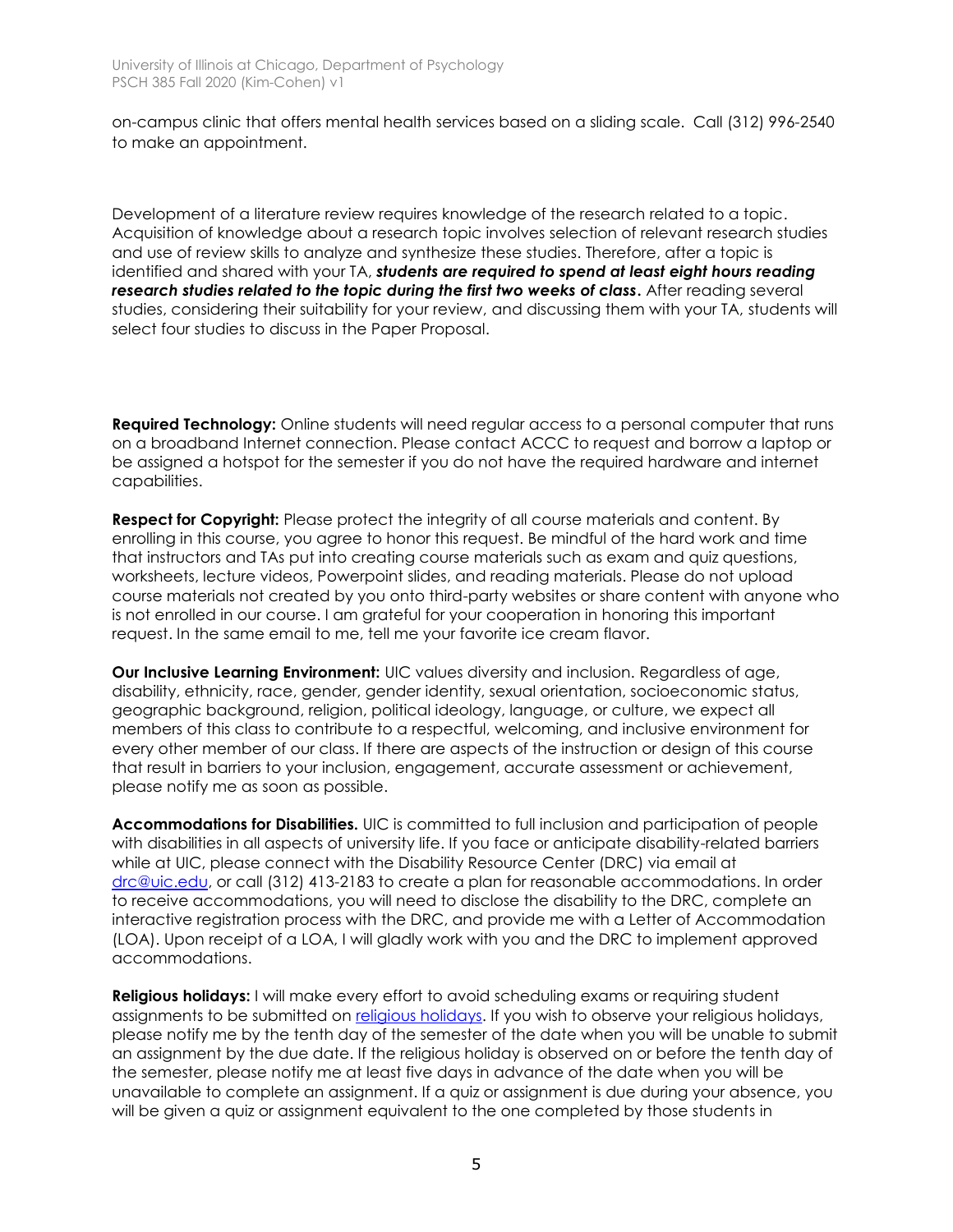on-campus clinic that offers mental health services based on a sliding scale. Call (312) 996-2540 to make an appointment.

Development of a literature review requires knowledge of the research related to a topic. Acquisition of knowledge about a research topic involves selection of relevant research studies and use of review skills to analyze and synthesize these studies. Therefore, after a topic is identified and shared with your TA, *students are required to spend at least eight hours reading research studies related to the topic during the first two weeks of class***.** After reading several studies, considering their suitability for your review, and discussing them with your TA, students will select four studies to discuss in the Paper Proposal.

**Required Technology:** Online students will need regular access to a personal computer that runs on a broadband Internet connection. Please contact ACCC to request and borrow a laptop or be assigned a hotspot for the semester if you do not have the required hardware and internet capabilities.

**Respect for Copyright:** Please protect the integrity of all course materials and content. By enrolling in this course, you agree to honor this request. Be mindful of the hard work and time that instructors and TAs put into creating course materials such as exam and quiz questions, worksheets, lecture videos, Powerpoint slides, and reading materials. Please do not upload course materials not created by you onto third-party websites or share content with anyone who is not enrolled in our course. I am grateful for your cooperation in honoring this important request. In the same email to me, tell me your favorite ice cream flavor.

**Our Inclusive Learning Environment:** UIC values diversity and inclusion. Regardless of age, disability, ethnicity, race, gender, gender identity, sexual orientation, socioeconomic status, geographic background, religion, political ideology, language, or culture, we expect all members of this class to contribute to a respectful, welcoming, and inclusive environment for every other member of our class. If there are aspects of the instruction or design of this course that result in barriers to your inclusion, engagement, accurate assessment or achievement, please notify me as soon as possible.

**Accommodations for Disabilities.** UIC is committed to full inclusion and participation of people with disabilities in all aspects of university life. If you face or anticipate disability-related barriers while at UIC, please connect with the Disability Resource Center (DRC) via email at [drc@uic.edu,](mailto:drc@uic.edu) or call (312) 413-2183 to create a plan for reasonable accommodations. In order to receive accommodations, you will need to disclose the disability to the DRC, complete an interactive registration process with the DRC, and provide me with a Letter of Accommodation (LOA). Upon receipt of a LOA, I will gladly work with you and the DRC to implement approved accommodations.

**Religious holidays:** I will make every effort to avoid scheduling exams or requiring student assignments to be submitted on [religious holidays.](https://oae.uic.edu/religious-calendar/) If you wish to observe your religious holidays, please notify me by the tenth day of the semester of the date when you will be unable to submit an assignment by the due date. If the religious holiday is observed on or before the tenth day of the semester, please notify me at least five days in advance of the date when you will be unavailable to complete an assignment. If a quiz or assignment is due during your absence, you will be given a quiz or assignment equivalent to the one completed by those students in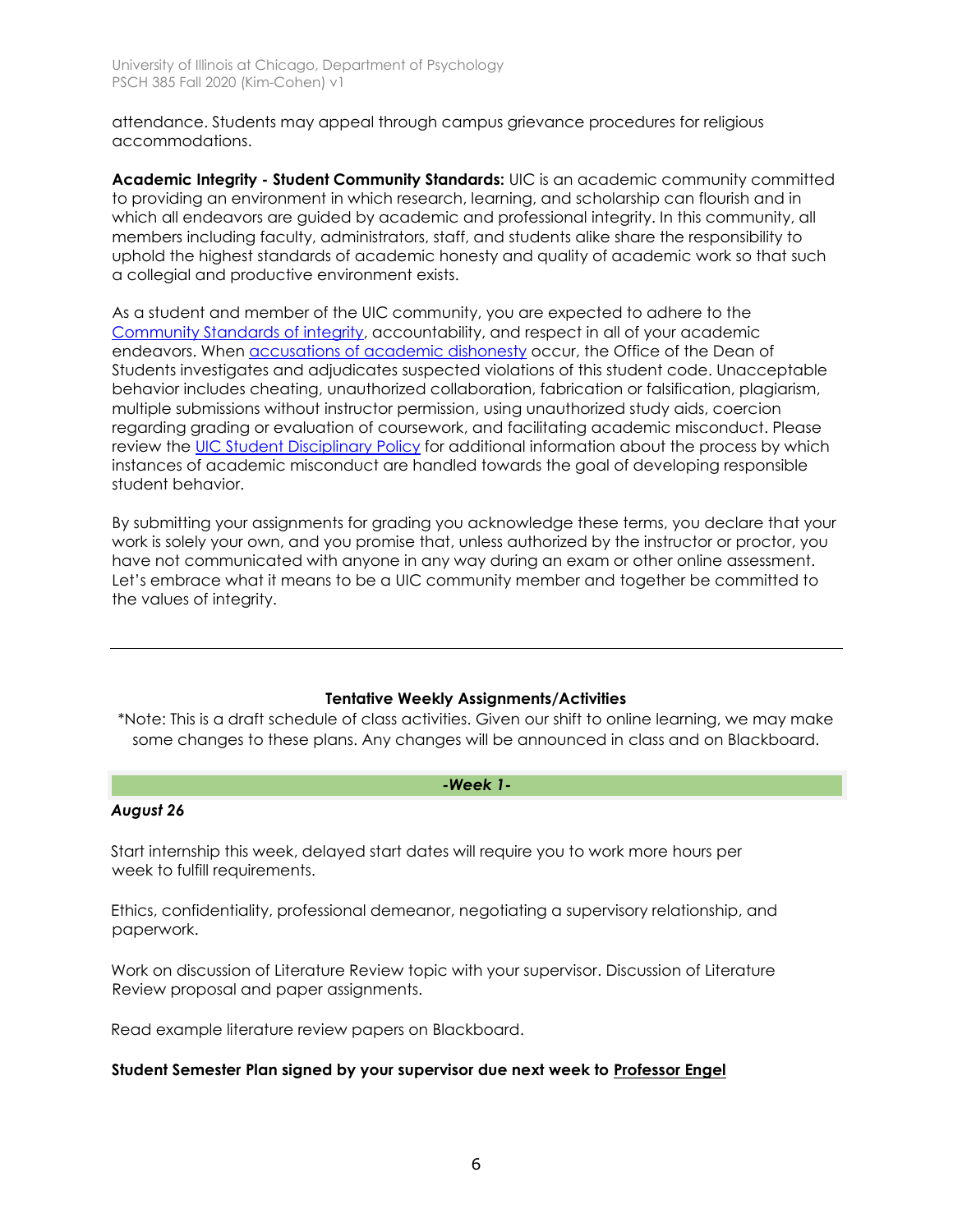attendance. Students may appeal through campus grievance procedures for religious accommodations.

**Academic Integrity - Student Community Standards:** UIC is an academic community committed to providing an environment in which research, learning, and scholarship can flourish and in which all endeavors are guided by academic and professional integrity. In this community, all members including faculty, administrators, staff, and students alike share the responsibility to uphold the highest standards of academic honesty and quality of academic work so that such a collegial and productive environment exists.

As a student and member of the UIC community, you are expected to adhere to the [Community Standards of integrity,](https://dos.uic.edu/community-standards/) accountability, and respect in all of your academic endeavors. When [accusations of academic dishonesty](https://dos.uic.edu/community-standards/academic-integrity/) occur, the Office of the Dean of Students investigates and adjudicates suspected violations of this student code. Unacceptable behavior includes cheating, unauthorized collaboration, fabrication or falsification, plagiarism, multiple submissions without instructor permission, using unauthorized study aids, coercion regarding grading or evaluation of coursework, and facilitating academic misconduct. Please review the [UIC Student Disciplinary](https://dos.uic.edu/wp-content/uploads/sites/262/2018/10/DOS-Student-Disciplinary-Policy-2018-2019-FINAL.pdf) Policy for additional information about the process by which instances of academic misconduct are handled towards the goal of developing responsible student behavior.

By submitting your assignments for grading you acknowledge these terms, you declare that your work is solely your own, and you promise that, unless authorized by the instructor or proctor, you have not communicated with anyone in any way during an exam or other online assessment. Let's embrace what it means to be a UIC community member and together be committed to the values of integrity.

## **Tentative Weekly Assignments/Activities**

\*Note: This is a draft schedule of class activities. Given our shift to online learning, we may make some changes to these plans. Any changes will be announced in class and on Blackboard.

### *-Week 1-*

## *August 26*

Start internship this week, delayed start dates will require you to work more hours per week to fulfill requirements.

Ethics, confidentiality, professional demeanor, negotiating a supervisory relationship, and paperwork.

Work on discussion of Literature Review topic with your supervisor. Discussion of Literature Review proposal and paper assignments.

Read example literature review papers on Blackboard.

## **Student Semester Plan signed by your supervisor due next week to Professor Engel**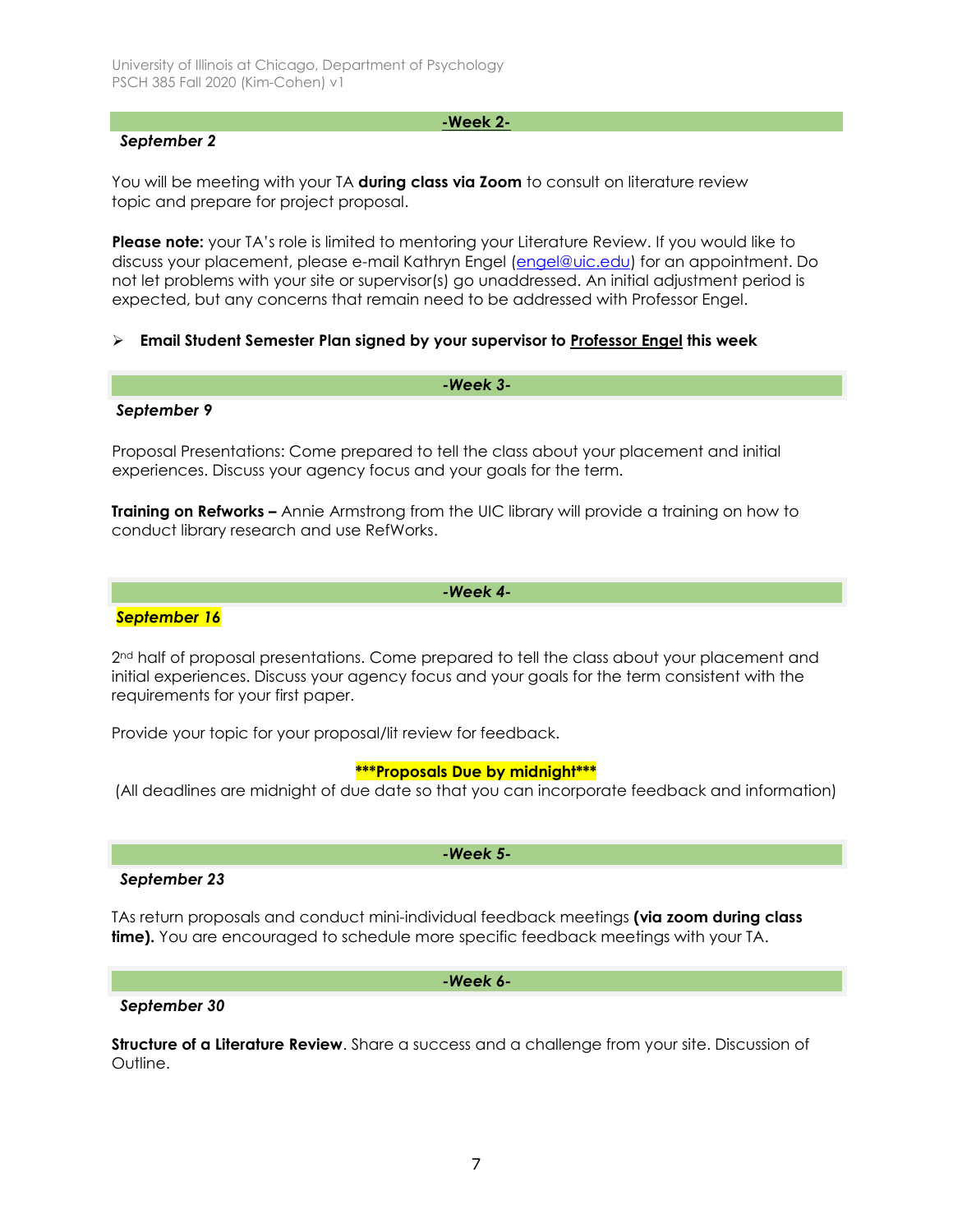## *September 2*

**-Week 2-**

You will be meeting with your TA **during class via Zoom** to consult on literature review topic and prepare for project proposal.

**Please note:** your TA's role is limited to mentoring your Literature Review. If you would like to discuss your placement, please e-mail Kathryn Engel [\(engel@uic.edu\)](mailto:engel@uic.edu) for an appointment. Do not let problems with your site or supervisor(s) go unaddressed. An initial adjustment period is expected, but any concerns that remain need to be addressed with Professor Engel.

## **Email Student Semester Plan signed by your supervisor to Professor Engel this week**

# *-Week 3-*

### *September 9*

Proposal Presentations: Come prepared to tell the class about your placement and initial experiences. Discuss your agency focus and your goals for the term.

**Training on Refworks –** Annie Armstrong from the UIC library will provide a training on how to conduct library research and use RefWorks.

### *-Week 4-*

### *September 16*

2<sup>nd</sup> half of proposal presentations. Come prepared to tell the class about your placement and initial experiences. Discuss your agency focus and your goals for the term consistent with the requirements for your first paper.

Provide your topic for your proposal/lit review for feedback.

### **\*\*\*Proposals Due by midnight\*\*\***

(All deadlines are midnight of due date so that you can incorporate feedback and information)

*-Week 5-*

# *September 23*

TAs return proposals and conduct mini-individual feedback meetings **(via zoom during class time).** You are encouraged to schedule more specific feedback meetings with your TA.

### *-Week 6-*

### *September 30*

**Structure of a Literature Review**. Share a success and a challenge from your site. Discussion of Outline.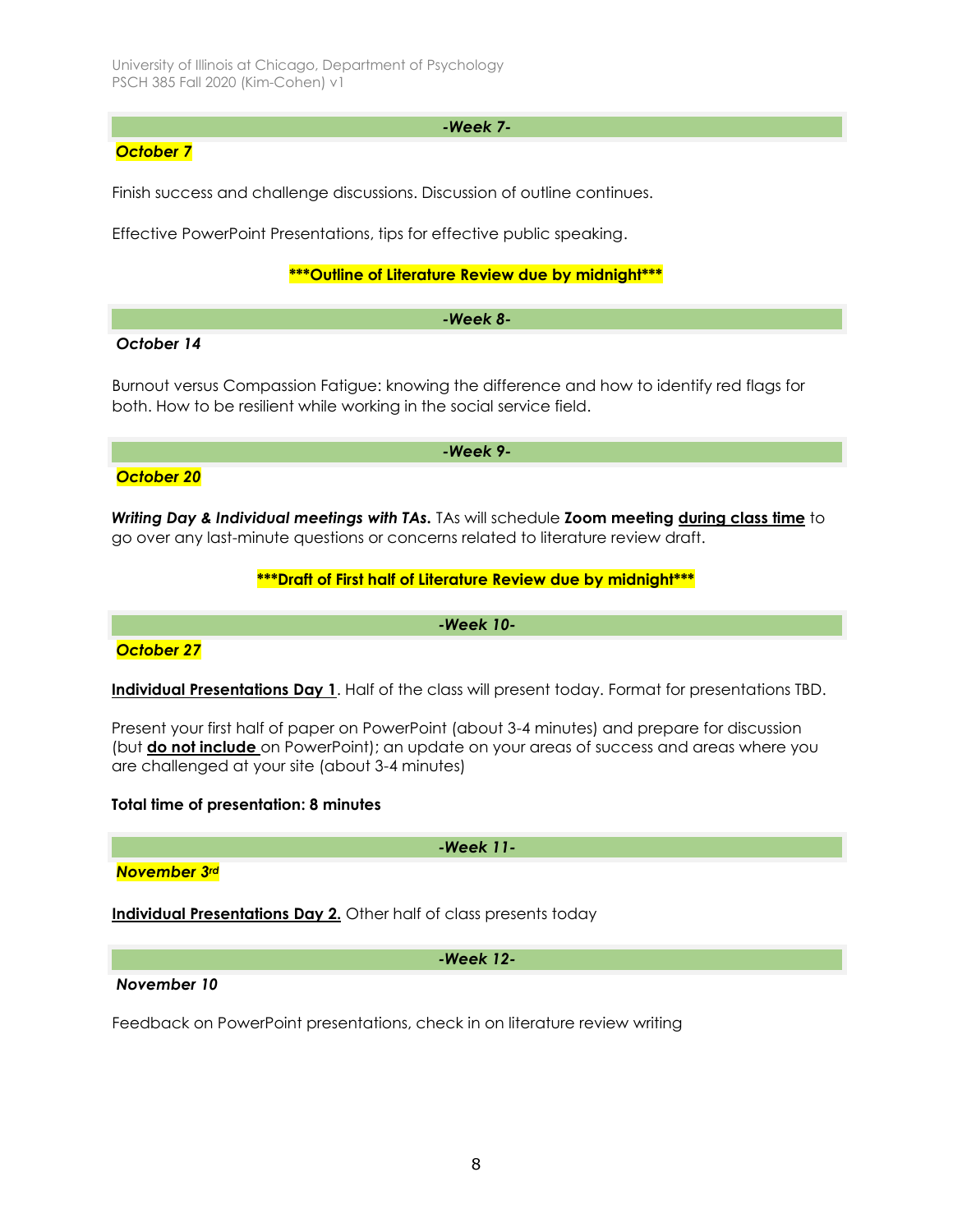### *-Week 7-*

## *October 7*

Finish success and challenge discussions. Discussion of outline continues.

Effective PowerPoint Presentations, tips for effective public speaking.

## **\*\*\*Outline of Literature Review due by midnight\*\*\***

### *-Week 8-*

## *October 14*

Burnout versus Compassion Fatigue: knowing the difference and how to identify red flags for both. How to be resilient while working in the social service field.

*-Week 9-*

## *October 20*

*Writing Day & Individual meetings with TAs.* TAs will schedule **Zoom meeting during class time** to go over any last-minute questions or concerns related to literature review draft.

## **\*\*\*Draft of First half of Literature Review due by midnight\*\*\***

*-Week 10-*

## *October 27*

**Individual Presentations Day 1**. Half of the class will present today. Format for presentations TBD.

Present your first half of paper on PowerPoint (about 3-4 minutes) and prepare for discussion (but **do not include** on PowerPoint); an update on your areas of success and areas where you are challenged at your site (about 3-4 minutes)

## **Total time of presentation: 8 minutes**

*-Week 11-*

*November 3rd*

**Individual Presentations Day 2.** Other half of class presents today

*-Week 12-*

### *November 10*

Feedback on PowerPoint presentations, check in on literature review writing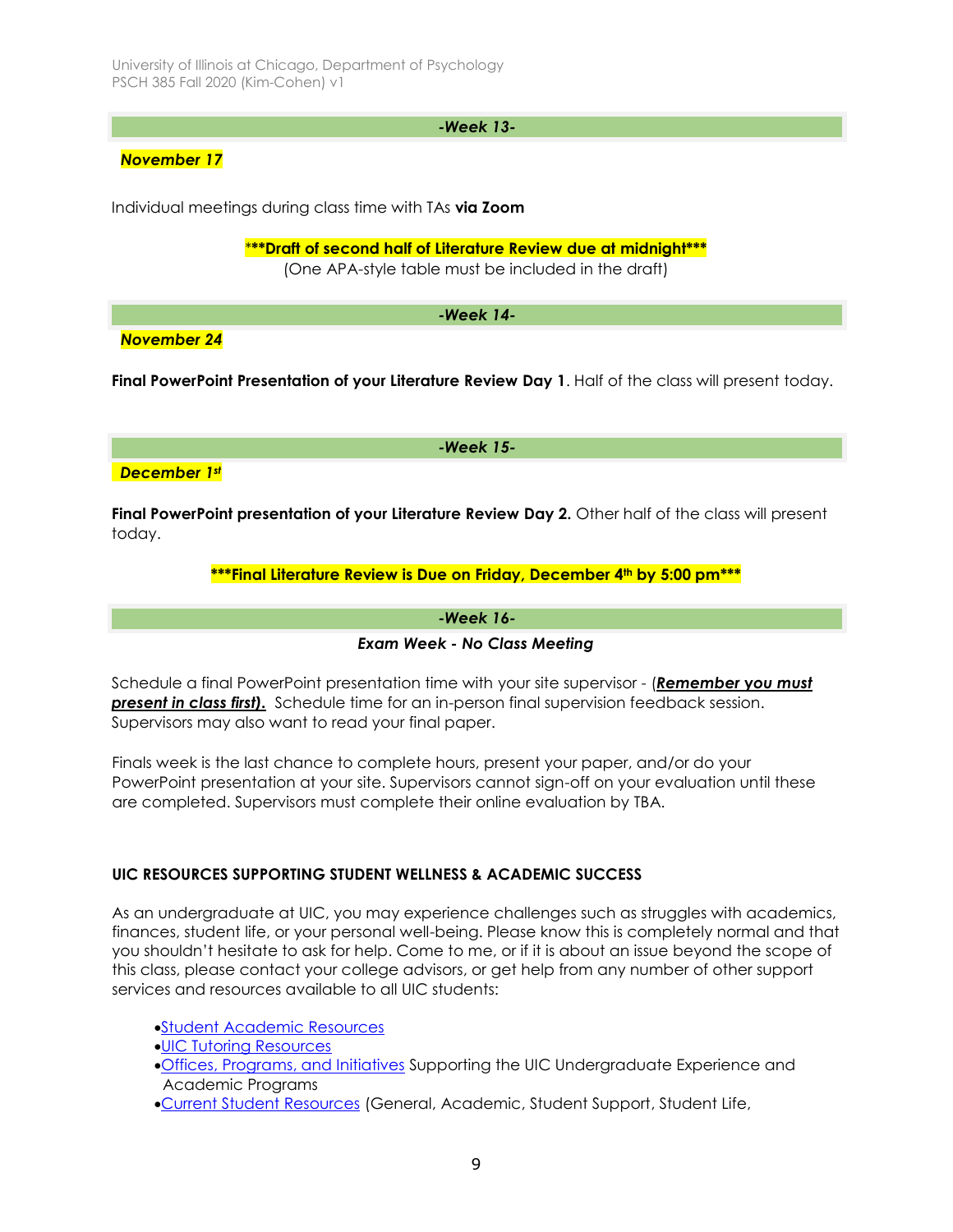## *-Week 13-*

*November 17*

Individual meetings during class time with TAs **via Zoom**

\***\*\*Draft of second half of Literature Review due at midnight\*\*\***

(One APA-style table must be included in the draft)

*-Week 14-*

*November 24*

**Final PowerPoint Presentation of your Literature Review Day 1**. Half of the class will present today.

*-Week 15-*

*December 1st*

**Final PowerPoint presentation of your Literature Review Day 2.** Other half of the class will present today.

## **\*\*\*Final Literature Review is Due on Friday, December 4th by 5:00 pm\*\*\***

*-Week 16-*

*Exam Week - No Class Meeting*

Schedule a final PowerPoint presentation time with your site supervisor - (*Remember* **y***ou must present in class first).* Schedule time for an in-person final supervision feedback session. Supervisors may also want to read your final paper.

Finals week is the last chance to complete hours, present your paper, and/or do your PowerPoint presentation at your site. Supervisors cannot sign-off on your evaluation until these are completed. Supervisors must complete their online evaluation by TBA.

## **UIC RESOURCES SUPPORTING STUDENT WELLNESS & ACADEMIC SUCCESS**

As an undergraduate at UIC, you may experience challenges such as struggles with academics, finances, student life, or your personal well-being. Please know this is completely normal and that you shouldn't hesitate to ask for help. Come to me, or if it is about an issue beyond the scope of this class, please contact your college advisors, or get help from any number of other support services and resources available to all UIC students:

[Student Academic Resources](https://provost.uic.edu/student-resources/)

- [UIC Tutoring Resources](https://tutoring.uic.edu/)
- [Offices, Programs, and Initiatives](https://vpuaap.uic.edu/offices-and-programs/) Supporting the UIC Undergraduate Experience and Academic Programs
- [Current Student Resources](https://today.uic.edu/resources/current-students) (General, Academic, Student Support, Student Life,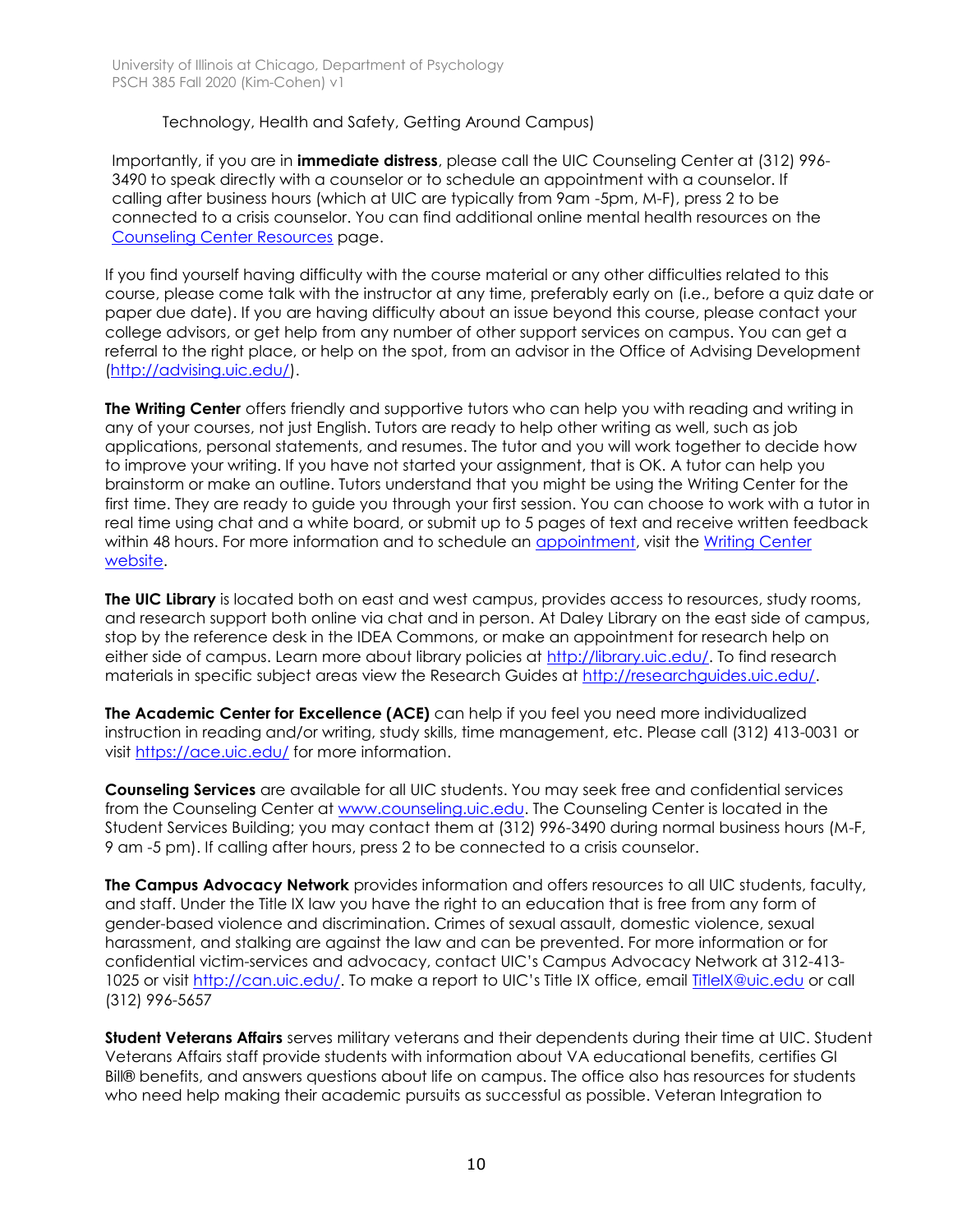## Technology, Health and Safety, Getting Around Campus)

Importantly, if you are in **immediate distress**, please call the UIC Counseling Center at (312) 996- 3490 to speak directly with a counselor or to schedule an appointment with a counselor. If calling after business hours (which at UIC are typically from 9am -5pm, M-F), press 2 to be connected to a crisis counselor. You can find additional online mental health resources on the [Counseling Center Resources](file://///users/VeronicaYounKang/Library/Containers/com.apple.mail/Data/Library/Mail%20Downloads/881FACF4-1C6B-407A-93CB-744B7F7CE18E/Importantly,%20if%20you%20are%20in%20immediate%20distress,%20please%20call%20the%20UIC%20Counseling%20Center%20at%20(312)%20996-3490%20to%20speak%20directly%20with%20a%20counselor%20or%20to%20schedule%20an%20appointment%20with%20a%20counselor.%20%20If%20calling%20after%20business%20hours%20(which%20at%20UIC%20are%20typically%20from%209%20am%20-5%20pm,%20M-F),%20press%202%20to%20be%20connected%20to%20a%20crisis%20counselor.%20You%20can%20find%20additional%20online%20mental%20health%20resources%20on%20the%20Counseling%20Center%20Resourcespage.) page.

If you find yourself having difficulty with the course material or any other difficulties related to this course, please come talk with the instructor at any time, preferably early on (i.e., before a quiz date or paper due date). If you are having difficulty about an issue beyond this course, please contact your college advisors, or get help from any number of other support services on campus. You can get a referral to the right place, or help on the spot, from an advisor in the Office of Advising Development [\(http://advising.uic.edu/\)](http://advising.uic.edu/).

**The Writing Center** offers friendly and supportive tutors who can help you with reading and writing in any of your courses, not just English. Tutors are ready to help other writing as well, such as job applications, personal statements, and resumes. The tutor and you will work together to decide how to improve your writing. If you have not started your assignment, that is OK. A tutor can help you brainstorm or make an outline. Tutors understand that you might be using the Writing Center for the first time. They are ready to guide you through your first session. You can choose to work with a tutor in real time using chat and a white board, or submit up to 5 pages of text and receive written feedback within 48 hours. For more information and to schedule an [appointment,](https://uic.mywconline.com/) visit the [Writing Center](https://writingcenter.uic.edu/)  [website.](https://writingcenter.uic.edu/)

**The UIC Library** is located both on east and west campus, provides access to resources, study rooms, and research support both online via chat and in person. At Daley Library on the east side of campus, stop by the reference desk in the IDEA Commons, or make an appointment for research help on either side of campus. Learn more about library policies at [http://library.uic.edu/.](http://library.uic.edu/) To find research materials in specific subject areas view the Research Guides at [http://researchguides.uic.edu/.](http://researchguides.uic.edu/)

**The Academic Center for Excellence (ACE)** can help if you feel you need more individualized instruction in reading and/or writing, study skills, time management, etc. Please call (312) 413-0031 or visit<https://ace.uic.edu/> for more information.

**Counseling Services** are available for all UIC students. You may seek free and confidential services from the Counseling Center at [www.counseling.uic.edu.](http://www.counseling.uic.edu/) The Counseling Center is located in the Student Services Building; you may contact them at (312) 996-3490 during normal business hours (M-F, 9 am -5 pm). If calling after hours, press 2 to be connected to a crisis counselor.

**The Campus Advocacy Network** provides information and offers resources to all UIC students, faculty, and staff. Under the Title IX law you have the right to an education that is free from any form of gender-based violence and discrimination. Crimes of sexual assault, domestic violence, sexual harassment, and stalking are against the law and can be prevented. For more information or for confidential victim-services and advocacy, contact UIC's Campus Advocacy Network at 312-413 1025 or visit<http://can.uic.edu/>. To make a report to UIC's Title IX office, email [TitleIX@uic.edu](mailto:TitleIX@uic.edu) or call (312) 996-5657

**Student Veterans Affairs** serves military veterans and their dependents during their time at UIC. Student Veterans Affairs staff provide students with information about VA educational benefits, certifies GI Bill® benefits, and answers questions about life on campus. The office also has resources for students who need help making their academic pursuits as successful as possible. Veteran Integration to